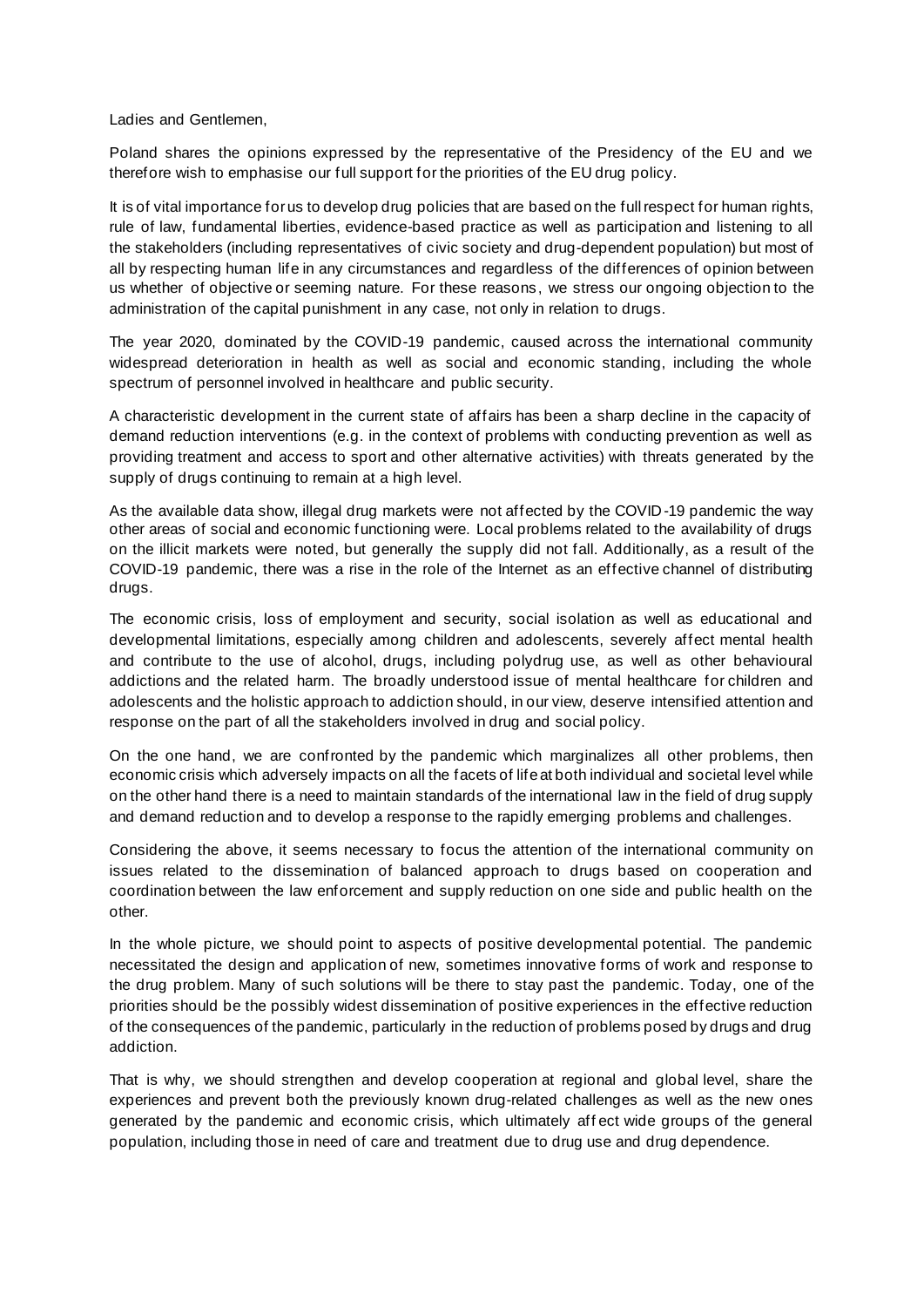Ladies and Gentlemen,

Poland shares the opinions expressed by the representative of the Presidency of the EU and we therefore wish to emphasise our full support for the priorities of the EU drug policy.

It is of vital importance for us to develop drug policies that are based on the full respect for human rights, rule of law, fundamental liberties, evidence-based practice as well as participation and listening to all the stakeholders (including representatives of civic society and drug-dependent population) but most of all by respecting human life in any circumstances and regardless of the differences of opinion between us whether of objective or seeming nature. For these reasons, we stress our ongoing objection to the administration of the capital punishment in any case, not only in relation to drugs.

The year 2020, dominated by the COVID-19 pandemic, caused across the international community widespread deterioration in health as well as social and economic standing, including the whole spectrum of personnel involved in healthcare and public security.

A characteristic development in the current state of affairs has been a sharp decline in the capacity of demand reduction interventions (e.g. in the context of problems with conducting prevention as well as providing treatment and access to sport and other alternative activities) with threats generated by the supply of drugs continuing to remain at a high level.

As the available data show, illegal drug markets were not affected by the COVID-19 pandemic the way other areas of social and economic functioning were. Local problems related to the availability of drugs on the illicit markets were noted, but generally the supply did not fall. Additionally, as a result of the COVID-19 pandemic, there was a rise in the role of the Internet as an effective channel of distributing drugs.

The economic crisis, loss of employment and security, social isolation as well as educational and developmental limitations, especially among children and adolescents, severely affect mental health and contribute to the use of alcohol, drugs, including polydrug use, as well as other behavioural addictions and the related harm. The broadly understood issue of mental healthcare for children and adolescents and the holistic approach to addiction should, in our view, deserve intensified attention and response on the part of all the stakeholders involved in drug and social policy.

On the one hand, we are confronted by the pandemic which marginalizes all other problems, then economic crisis which adversely impacts on all the facets of life at both individual and societal level while on the other hand there is a need to maintain standards of the international law in the field of drug supply and demand reduction and to develop a response to the rapidly emerging problems and challenges.

Considering the above, it seems necessary to focus the attention of the international community on issues related to the dissemination of balanced approach to drugs based on cooperation and coordination between the law enforcement and supply reduction on one side and public health on the other.

In the whole picture, we should point to aspects of positive developmental potential. The pandemic necessitated the design and application of new, sometimes innovative forms of work and response to the drug problem. Many of such solutions will be there to stay past the pandemic. Today, one of the priorities should be the possibly widest dissemination of positive experiences in the effective reduction of the consequences of the pandemic, particularly in the reduction of problems posed by drugs and drug addiction.

That is why, we should strengthen and develop cooperation at regional and global level, share the experiences and prevent both the previously known drug-related challenges as well as the new ones generated by the pandemic and economic crisis, which ultimately aff ect wide groups of the general population, including those in need of care and treatment due to drug use and drug dependence.